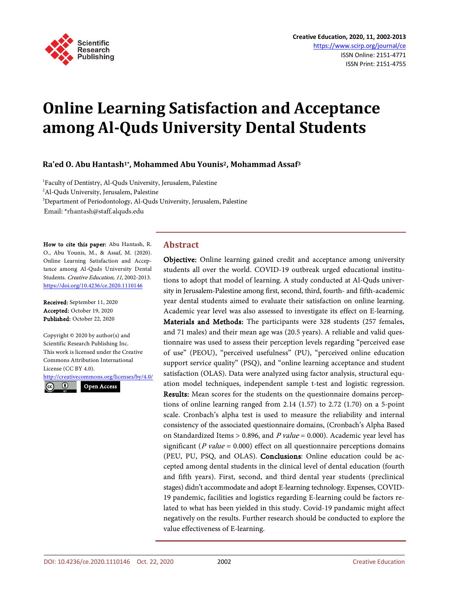

# **Online Learning Satisfaction and Acceptance among Al-Quds University Dental Students**

## **Ra'ed O. Abu Hantash1\*, Mohammed Abu Younis2, Mohammad Assaf3**

 Faculty of Dentistry, Al-Quds University, Jerusalem, Palestine Al-Quds University, Jerusalem, Palestine Department of Periodontology, Al-Quds University, Jerusalem, Palestine Email: \*rhantash@staff.alquds.edu

How to cite this paper: Abu Hantash, R. O., Abu Younis, M., & Assaf, M. (2020). Online Learning Satisfaction and Acceptance among Al-Quds University Dental Students. Creative Education, 11, 2002-2013. <https://doi.org/10.4236/ce.2020.1110146>

Received: September 11, 2020 Accepted: October 19, 2020 Published: October 22, 2020

Copyright © 2020 by author(s) and Scientific Research Publishing Inc. This work is licensed under the Creative Commons Attribution International License (CC BY 4.0).

<http://creativecommons.org/licenses/by/4.0/> Open Access

 $\bf \odot$ 

**Abstract**

Objective: Online learning gained credit and acceptance among university students all over the world. COVID-19 outbreak urged educational institutions to adopt that model of learning. A study conducted at Al-Quds university in Jerusalem-Palestine among first, second, third, fourth- and fifth-academic year dental students aimed to evaluate their satisfaction on online learning. Academic year level was also assessed to investigate its effect on E-learning. Materials and Methods: The participants were 328 students (257 females, and 71 males) and their mean age was (20.5 years). A reliable and valid questionnaire was used to assess their perception levels regarding "perceived ease of use" (PEOU), "perceived usefulness" (PU), "perceived online education support service quality" (PSQ), and "online learning acceptance and student satisfaction (OLAS). Data were analyzed using factor analysis, structural equation model techniques, independent sample t-test and logistic regression. Results: Mean scores for the students on the questionnaire domains perceptions of online learning ranged from 2.14 (1.57) to 2.72 (1.70) on a 5-point scale. Cronbach's alpha test is used to measure the reliability and internal consistency of the associated questionnaire domains, (Cronbach's Alpha Based on Standardized Items > 0.896, and  $P$  value = 0.000). Academic year level has significant ( $P$  value = 0.000) effect on all questionnaire perceptions domains (PEU, PU, PSQ, and OLAS). Conclusions: Online education could be accepted among dental students in the clinical level of dental education (fourth and fifth years). First, second, and third dental year students (preclinical stages) didn't accommodate and adopt E-learning technology. Expenses, COVID-19 pandemic, facilities and logistics regarding E-learning could be factors related to what has been yielded in this study. Covid-19 pandamic might affect negatively on the results. Further research should be conducted to explore the value effectiveness of E-learning.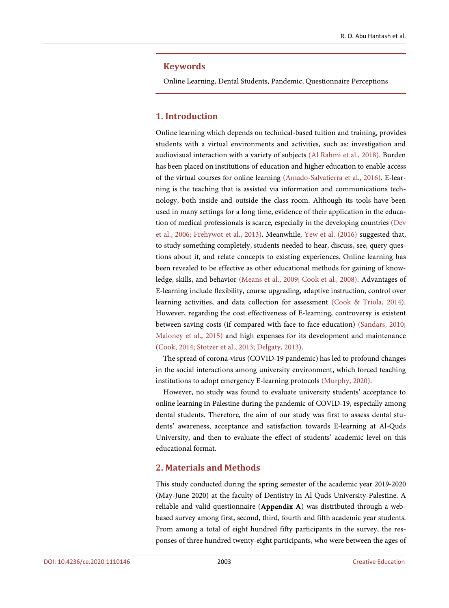#### **Keywords**

Online Learning, Dental Students, Pandemic, Questionnaire Perceptions

## **1. Introduction**

Online learning which depends on technical-based tuition and training, provides students with a virtual environments and activities, such as: investigation and audiovisual interaction with a variety of subjects [\(Al Rahmi et al., 2018\)](#page-9-0). Burden has been placed on institutions of education and higher education to enable access of the virtual courses for online learning [\(Amado-Salvatierra et al., 2016\)](#page-9-1). E-learning is the teaching that is assisted via information and communications technology, both inside and outside the class room. Although its tools have been used in many settings for a long time, evidence of their application in the education of medical professionals is scarce, especially in the developing countries [\(Dev](#page-9-2)  [et al., 2006;](#page-9-2) [Frehywot et al., 2013\)](#page-9-3). Meanwhile, [Yew et al. \(2016\)](#page-10-0) suggested that, to study something completely, students needed to hear, discuss, see, query questions about it, and relate concepts to existing experiences. Online learning has been revealed to be effective as other educational methods for gaining of knowledge, skills, and behavior [\(Means et al., 2009;](#page-10-1) [Cook et al., 2008\)](#page-9-4). Advantages of E-learning include flexibility, course upgrading, adaptive instruction, control over learning activities, and data collection for assessment [\(Cook & Triola, 2014\)](#page-9-5). However, regarding the cost effectiveness of E-learning, controversy is existent between saving costs (if compared with face to face education) [\(Sandars, 2010;](#page-10-2)  [Maloney et al.,](#page-10-3) 2015) and high expenses for its development and maintenance [\(Cook, 2014;](#page-9-5) [Stotzer et al.,](#page-10-4) 2013; [Delgaty, 2013\)](#page-9-6).

The spread of corona-virus (COVID-19 pandemic) has led to profound changes in the social interactions among university environment, which forced teaching institutions to adopt emergency E-learning protocols [\(Murphy, 2020\)](#page-10-5).

However, no study was found to evaluate university students' acceptance to online learning in Palestine during the pandemic of COVID-19, especially among dental students. Therefore, the aim of our study was first to assess dental students' awareness, acceptance and satisfaction towards E-learning at Al-Quds University, and then to evaluate the effect of students' academic level on this educational format.

## **2. Materials and Methods**

This study conducted during the spring semester of the academic year 2019-2020 (May-June 2020) at the faculty of Dentistry in Al Quds University-Palestine. A reliable and valid questionnaire (Appendix A) was distributed through a webbased survey among first, second, third, fourth and fifth academic year students. From among a total of eight hundred fifty participants in the survey, the responses of three hundred twenty-eight participants, who were between the ages of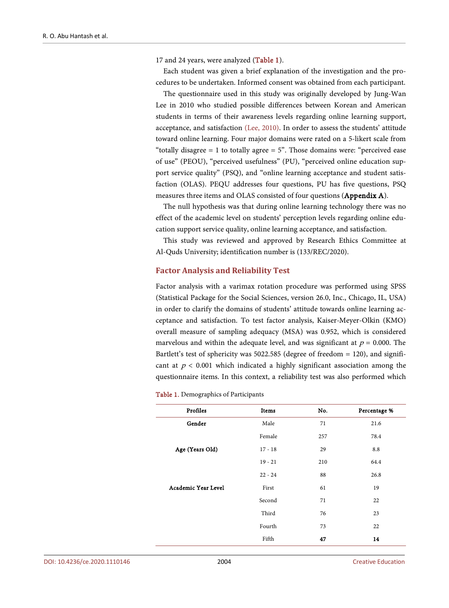17 and 24 years, were analyzed [\(Table 1\)](#page-2-0).

Each student was given a brief explanation of the investigation and the procedures to be undertaken. Informed consent was obtained from each participant.

The questionnaire used in this study was originally developed by Jung-Wan Lee in 2010 who studied possible differences between Korean and American students in terms of their awareness levels regarding online learning support, acceptance, and satisfaction [\(Lee, 2010\)](#page-9-7). In order to assess the students' attitude toward online learning. Four major domains were rated on a 5-likert scale from "totally disagree  $= 1$  to totally agree  $= 5$ ". Those domains were: "perceived ease of use" (PEOU), "perceived usefulness" (PU), "perceived online education support service quality" (PSQ), and "online learning acceptance and student satisfaction (OLAS). PEQU addresses four questions, PU has five questions, PSQ measures three items and OLAS consisted of four questions (Appendix A).

The null hypothesis was that during online learning technology there was no effect of the academic level on students' perception levels regarding online education support service quality, online learning acceptance, and satisfaction.

This study was reviewed and approved by Research Ethics Committee at Al-Quds University; identification number is (133/REC/2020).

#### **Factor Analysis and Reliability Test**

Factor analysis with a varimax rotation procedure was performed using SPSS (Statistical Package for the Social Sciences, version 26.0, Inc., Chicago, IL, USA) in order to clarify the domains of students' attitude towards online learning acceptance and satisfaction. To test factor analysis, Kaiser-Meyer-Olkin (KMO) overall measure of sampling adequacy (MSA) was 0.952, which is considered marvelous and within the adequate level, and was significant at  $p = 0.000$ . The Bartlett's test of sphericity was 5022.585 (degree of freedom = 120), and significant at  $p < 0.001$  which indicated a highly significant association among the questionnaire items. In this context, a reliability test was also performed which

<span id="page-2-0"></span>

|  |  |  | <b>Table 1.</b> Demographics of Participants |  |  |  |
|--|--|--|----------------------------------------------|--|--|--|
|--|--|--|----------------------------------------------|--|--|--|

| Profiles            | Items     | No. | Percentage % |
|---------------------|-----------|-----|--------------|
| Gender              | Male      | 71  | 21.6         |
|                     | Female    | 257 | 78.4         |
| Age (Years Old)     | $17 - 18$ | 29  | 8.8          |
|                     | $19 - 21$ | 210 | 64.4         |
|                     | $22 - 24$ | 88  | 26.8         |
| Academic Year Level | First     | 61  | 19           |
|                     | Second    | 71  | 22           |
|                     | Third     | 76  | 23           |
|                     | Fourth    | 73  | 22           |
|                     | Fifth     | 47  | 14           |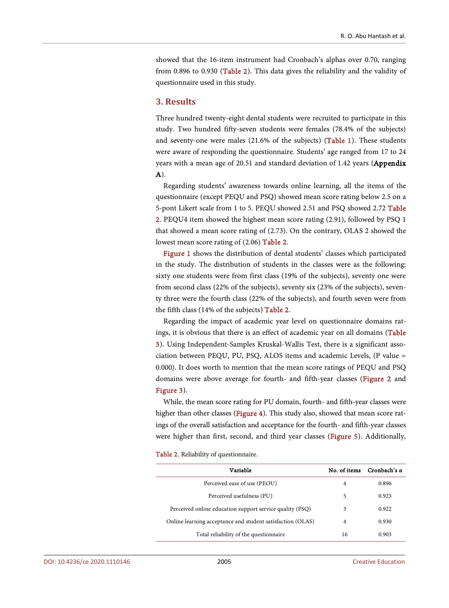showed that the 16-item instrument had Cronbach's alphas over 0.70, ranging from 0.896 to 0.930 [\(Table 2\)](#page-3-0). This data gives the reliability and the validity of questionnaire used in this study.

#### **3. Results**

Three hundred twenty-eight dental students were recruited to participate in this study. Two hundred fifty-seven students were females (78.4% of the subjects) and seventy-one were males (21.6% of the subjects) [\(Table 1\)](#page-2-0). These students were aware of responding the questionnaire. Students' age ranged from 17 to 24 years with a mean age of 20.51 and standard deviation of 1.42 years (Appendix A).

Regarding students' awareness towards online learning, all the items of the questionnaire (except PEQU and PSQ) showed mean score rating below 2.5 on a 5-pont Likert scale from 1 to 5. PEQU showed 2.51 and PSQ showed 2.72 [Table](#page-3-0)  [2.](#page-3-0) PEQU4 item showed the highest mean score rating (2.91), followed by PSQ 1 that showed a mean score rating of (2.73). On the contrary, OLAS 2 showed the lowest mean score rating of (2.06) [Table 2.](#page-3-0)

[Figure 1](#page-4-0) shows the distribution of dental students' classes which participated in the study. The distribution of students in the classes were as the following: sixty one students were from first class (19% of the subjects), seventy one were from second class (22% of the subjects), seventy six (23% of the subjects), seventy three were the fourth class (22% of the subjects), and fourth seven were from the fifth class (14% of the subjects) [Table 2.](#page-3-0)

Regarding the impact of academic year level on questionnaire domains ratings, it is obvious that there is an effect of academic year on all domains [\(Table](#page-4-1)  [3\)](#page-4-1). Using Independent-Samples Kruskal-Wallis Test, there is a significant association between PEQU, PU, PSQ, ALOS items and academic Levels, (P value = 0.000). It does worth to mention that the mean score ratings of PEQU and PSQ domains were above average for fourth- and fifth-year classes [\(Figure 2](#page-4-2) and [Figure 3\)](#page-5-0).

While, the mean score rating for PU domain, fourth- and fifth-year classes were higher than other classes [\(Figure 4\)](#page-5-1). This study also, showed that mean score ratings of the overall satisfaction and acceptance for the fourth- and fifth-year classes were higher than first, second, and third year classes [\(Figure 5\)](#page-6-0). Additionally,

Table 2. Reliability of questionnaire.

<span id="page-3-0"></span>

| Variable                                                   | No. of items | Cronbach's $\alpha$ |
|------------------------------------------------------------|--------------|---------------------|
| Perceived ease of use (PEOU)                               | 4            | 0.896               |
| Perceived usefulness (PU)                                  | 5            | 0.923               |
| Perceived online education support service quality (PSQ)   | 3            | 0.922               |
| Online learning acceptance and student satisfaction (OLAS) | 4            | 0.930               |
| Total reliability of the questionnaire                     | 16           | 0.903               |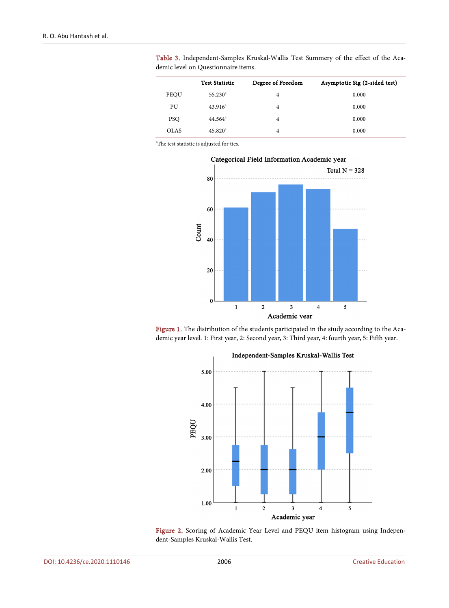|             | <b>Test Statistic</b> | Degree of Freedom | Asymptotic Sig (2-sided test) |
|-------------|-----------------------|-------------------|-------------------------------|
| PEQU        | $55.230^{\circ}$      | 4                 | 0.000                         |
| PU          | 43.916 <sup>a</sup>   | 4                 | 0.000                         |
| <b>PSO</b>  | $44.564^{\circ}$      | 4                 | 0.000                         |
| <b>OLAS</b> | $45.820^{\circ}$      | 4                 | 0.000                         |

<span id="page-4-1"></span>Table 3. Independent-Samples Kruskal-Wallis Test Summery of the effect of the Academic level on Questionnaire items.

<span id="page-4-0"></span>a The test statistic is adjusted for ties.



<span id="page-4-2"></span>Figure 1. The distribution of the students participated in the study according to the Academic year level. 1: First year, 2: Second year, 3: Third year, 4: fourth year, 5: Fifth year.



Figure 2. Scoring of Academic Year Level and PEQU item histogram using Independent-Samples Kruskal-Wallis Test.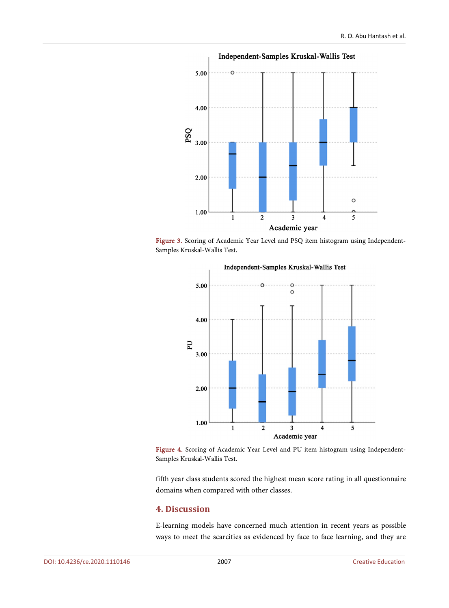<span id="page-5-0"></span>

<span id="page-5-1"></span>Figure 3. Scoring of Academic Year Level and PSQ item histogram using Independent-Samples Kruskal-Wallis Test.



Figure 4. Scoring of Academic Year Level and PU item histogram using Independent-Samples Kruskal-Wallis Test.

fifth year class students scored the highest mean score rating in all questionnaire domains when compared with other classes.

## **4. Discussion**

E-learning models have concerned much attention in recent years as possible ways to meet the scarcities as evidenced by face to face learning, and they are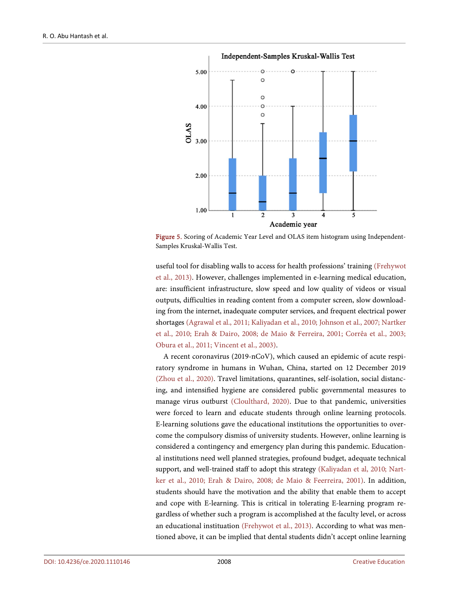<span id="page-6-0"></span>

Figure 5. Scoring of Academic Year Level and OLAS item histogram using Independent-Samples Kruskal-Wallis Test.

useful tool for disabling walls to access for health professions' training [\(Frehywot](#page-9-3)  [et al., 2013\)](#page-9-3). However, challenges implemented in e-learning medical education, are: insufficient infrastructure, slow speed and low quality of videos or visual outputs, difficulties in reading content from a computer screen, slow downloading from the internet, inadequate computer services, and frequent electrical power shortages [\(Agrawal et al., 2011;](#page-9-8) [Kaliyadan et al., 2010;](#page-9-9) [Johnson et al., 2007;](#page-9-10) [Nartker](#page-10-6)  [et al., 2010;](#page-10-6) [Erah & Dairo, 2008;](#page-9-11) [de Maio & Ferreira, 2001;](#page-10-7) [Corrêa et al., 2003;](#page-9-12)  [Obura et al., 2011;](#page-10-8) [Vincent et al., 2003\)](#page-10-9).

A recent coronavirus (2019-nCoV), which caused an epidemic of acute respiratory syndrome in humans in Wuhan, China, started on 12 December 2019 [\(Zhou et al., 2020\)](#page-10-10). Travel limitations, quarantines, self-isolation, social distancing, and intensified hygiene are considered public governmental measures to manage virus outburst [\(Cloulthard, 2020\)](#page-9-13). Due to that pandemic, universities were forced to learn and educate students through online learning protocols. E-learning solutions gave the educational institutions the opportunities to overcome the compulsory dismiss of university students. However, online learning is considered a contingency and emergency plan during this pandemic. Educational institutions need well planned strategies, profound budget, adequate technical support, and well-trained staff to adopt this strategy [\(Kaliyadan et al, 2010;](#page-9-9) [Nart](#page-10-6)[ker et al., 2010;](#page-10-6) [Erah & Dairo, 2008;](#page-9-11) [de Maio & Feerreira, 2001\)](#page-10-7). In addition, students should have the motivation and the ability that enable them to accept and cope with E-learning. This is critical in tolerating E-learning program regardless of whether such a program is accomplished at the faculty level, or across an educational instituation [\(Frehywot et al., 2013\)](#page-9-3). According to what was mentioned above, it can be implied that dental students didn't accept online learning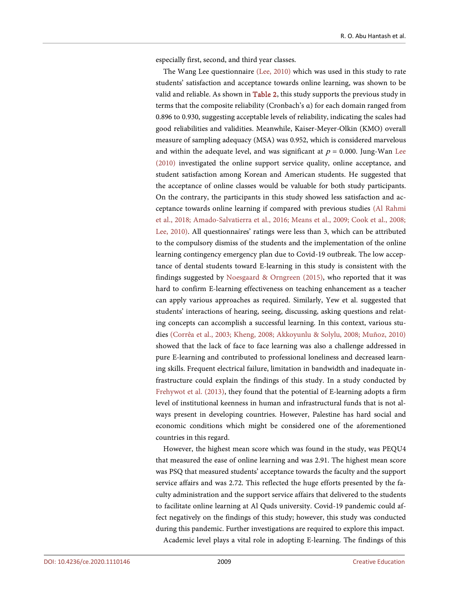especially first, second, and third year classes.

The Wang Lee questionnaire [\(Lee, 2010\)](#page-9-7) which was used in this study to rate students' satisfaction and acceptance towards online learning, was shown to be valid and reliable. As shown in [Table 2,](#page-3-0) this study supports the previous study in terms that the composite reliability (Cronbach's α) for each domain ranged from 0.896 to 0.930, suggesting acceptable levels of reliability, indicating the scales had good reliabilities and validities. Meanwhile, Kaiser-Meyer-Olkin (KMO) overall measure of sampling adequacy (MSA) was 0.952, which is considered marvelous and within the adequate level, and was significant at  $p = 0.000$ . Jung-Wan Lee [\(2010\)](#page-9-7) investigated the online support service quality, online acceptance, and student satisfaction among Korean and American students. He suggested that the acceptance of online classes would be valuable for both study participants. On the contrary, the participants in this study showed less satisfaction and acceptance towards online learning if compared with previous studies [\(Al Rahmi](#page-9-0)  [et al., 2018;](#page-9-0) [Amado-Salvatierra et al., 2016;](#page-9-1) [Means et al., 2009;](#page-10-1) [Cook et al., 2008;](#page-9-4)  [Lee, 2010\)](#page-9-7). All questionnaires' ratings were less than 3, which can be attributed to the compulsory dismiss of the students and the implementation of the online learning contingency emergency plan due to Covid-19 outbreak. The low acceptance of dental students toward E-learning in this study is consistent with the findings suggested by Noesgaard & [Orngreen \(2015\),](#page-10-11) who reported that it was hard to confirm E-learning effectiveness on teaching enhancement as a teacher can apply various approaches as required. Similarly, Yew et al. suggested that students' interactions of hearing, seeing, discussing, asking questions and relating concepts can accomplish a successful learning. In this context, various studies [\(Corrêa et al., 2003;](#page-9-12) [Kheng, 2008;](#page-10-12) [Akkoyunlu & Solylu, 2008;](#page-8-0) [Muñoz, 2010\)](#page-10-13) showed that the lack of face to face learning was also a challenge addressed in pure E-learning and contributed to professional loneliness and decreased learning skills. Frequent electrical failure, limitation in bandwidth and inadequate infrastructure could explain the findings of this study. In a study conducted by [Frehywot et al. \(2013\),](#page-9-3) they found that the potential of E-learning adopts a firm level of institutional keenness in human and infrastructural funds that is not always present in developing countries. However, Palestine has hard social and economic conditions which might be considered one of the aforementioned countries in this regard.

However, the highest mean score which was found in the study, was PEQU4 that measured the ease of online learning and was 2.91. The highest mean score was PSQ that measured students' acceptance towards the faculty and the support service affairs and was 2.72. This reflected the huge efforts presented by the faculty administration and the support service affairs that delivered to the students to facilitate online learning at Al Quds university. Covid-19 pandemic could affect negatively on the findings of this study; however, this study was conducted during this pandemic. Further investigations are required to explore this impact. Academic level plays a vital role in adopting E-learning. The findings of this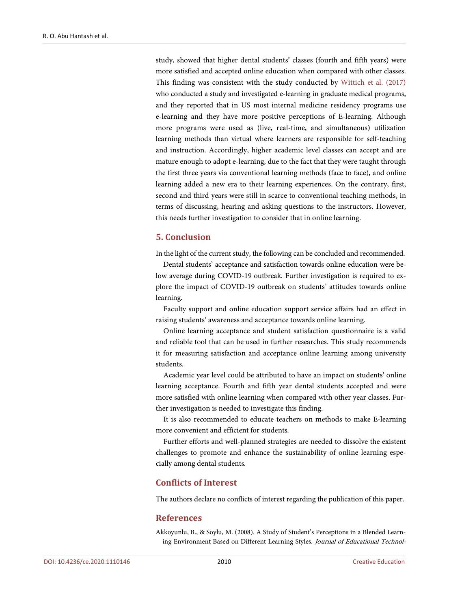study, showed that higher dental students' classes (fourth and fifth years) were more satisfied and accepted online education when compared with other classes. This finding was consistent with the study conducted by [Wittich et al. \(2017\)](#page-10-14) who conducted a study and investigated e-learning in graduate medical programs, and they reported that in US most internal medicine residency programs use e-learning and they have more positive perceptions of E-learning. Although more programs were used as (live, real-time, and simultaneous) utilization learning methods than virtual where learners are responsible for self-teaching and instruction. Accordingly, higher academic level classes can accept and are mature enough to adopt e-learning, due to the fact that they were taught through the first three years via conventional learning methods (face to face), and online learning added a new era to their learning experiences. On the contrary, first, second and third years were still in scarce to conventional teaching methods, in terms of discussing, hearing and asking questions to the instructors. However, this needs further investigation to consider that in online learning.

#### **5. Conclusion**

In the light of the current study, the following can be concluded and recommended.

Dental students' acceptance and satisfaction towards online education were below average during COVID-19 outbreak. Further investigation is required to explore the impact of COVID-19 outbreak on students' attitudes towards online learning.

Faculty support and online education support service affairs had an effect in raising students' awareness and acceptance towards online learning.

Online learning acceptance and student satisfaction questionnaire is a valid and reliable tool that can be used in further researches. This study recommends it for measuring satisfaction and acceptance online learning among university students.

Academic year level could be attributed to have an impact on students' online learning acceptance. Fourth and fifth year dental students accepted and were more satisfied with online learning when compared with other year classes. Further investigation is needed to investigate this finding.

It is also recommended to educate teachers on methods to make E-learning more convenient and efficient for students.

Further efforts and well-planned strategies are needed to dissolve the existent challenges to promote and enhance the sustainability of online learning especially among dental students.

## **Conflicts of Interest**

The authors declare no conflicts of interest regarding the publication of this paper.

#### **References**

<span id="page-8-0"></span>Akkoyunlu, B., & Soylu, M. (2008). A Study of Student's Perceptions in a Blended Learning Environment Based on Different Learning Styles. Journal of Educational Technol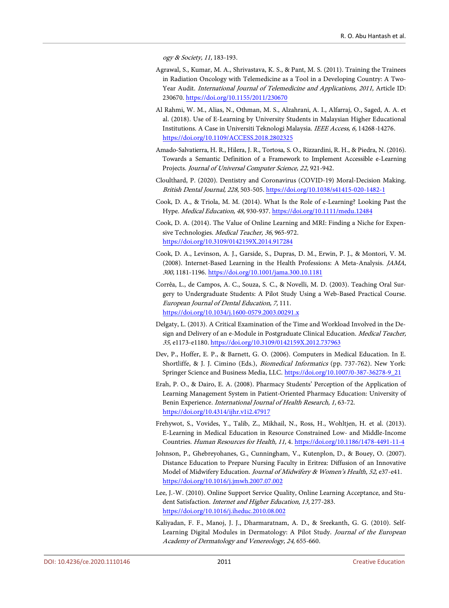ogy & Society, 11, 183-193.

- <span id="page-9-8"></span>Agrawal, S., Kumar, M. A., Shrivastava, K. S., & Pant, M. S. (2011). Training the Trainees in Radiation Oncology with Telemedicine as a Tool in a Developing Country: A Two-Year Audit. International Journal of Telemedicine and Applications, 2011, Article ID: 230670. <https://doi.org/10.1155/2011/230670>
- <span id="page-9-0"></span>Al Rahmi, W. M., Alias, N., Othman, M. S., Alzahrani, A. I., Alfarraj, O., Saged, A. A. et al. (2018). Use of E-Learning by University Students in Malaysian Higher Educational Institutions. A Case in Universiti Teknologi Malaysia. IEEE Access, 6, 14268-14276. <https://doi.org/10.1109/ACCESS.2018.2802325>
- <span id="page-9-1"></span>Amado-Salvatierra, H. R., Hilera, J. R., Tortosa, S. O., Rizzardini, R. H., & Piedra, N. (2016). Towards a Semantic Definition of a Framework to Implement Accessible e-Learning Projects. Journal of Universal Computer Science, 22, 921-942.
- <span id="page-9-13"></span>Cloulthard, P. (2020). Dentistry and Coronavirus (COVID-19) Moral-Decision Making. British Dental Journal, 228, 503-505. <https://doi.org/10.1038/s41415-020-1482-1>
- <span id="page-9-5"></span>Cook, D. A., & Triola, M. M. (2014). What Is the Role of e-Learning? Looking Past the Hype. Medical Education, 48, 930-937. <https://doi.org/10.1111/medu.12484>
- Cook, D. A. (2014). The Value of Online Learning and MRI: Finding a Niche for Expensive Technologies. Medical Teacher, 36, 965-972. <https://doi.org/10.3109/0142159X.2014.917284>
- <span id="page-9-4"></span>Cook, D. A., Levinson, A. J., Garside, S., Dupras, D. M., Erwin, P. J., & Montori, V. M. (2008). Internet-Based Learning in the Health Professions: A Meta-Analysis. JAMA, 300, 1181-1196. <https://doi.org/10.1001/jama.300.10.1181>
- <span id="page-9-12"></span>Corrêa, L., de Campos, A. C., Souza, S. C., & Novelli, M. D. (2003). Teaching Oral Surgery to Undergraduate Students: A Pilot Study Using a Web-Based Practical Course. European Journal of Dental Education, 7, 111. <https://doi.org/10.1034/j.1600-0579.2003.00291.x>
- <span id="page-9-6"></span>Delgaty, L. (2013). A Critical Examination of the Time and Workload Involved in the Design and Delivery of an e-Module in Postgraduate Clinical Education. Medical Teacher, 35, e1173-e1180. <https://doi.org/10.3109/0142159X.2012.737963>
- <span id="page-9-2"></span>Dev, P., Hoffer, E. P., & Barnett, G. O. (2006). Computers in Medical Education. In E. Shortliffe, & J. J. Cimino (Eds.), Biomedical Informatics (pp. 737-762). New York: Springer Science and Business Media, LLC. [https://doi.org/10.1007/0-387-36278-9\\_21](https://doi.org/10.1007/0-387-36278-9_21)
- <span id="page-9-11"></span>Erah, P. O., & Dairo, E. A. (2008). Pharmacy Students' Perception of the Application of Learning Management System in Patient-Oriented Pharmacy Education: University of Benin Experience. International Journal of Health Research, 1, 63-72. <https://doi.org/10.4314/ijhr.v1i2.47917>
- <span id="page-9-3"></span>Frehywot, S., Vovides, Y., Talib, Z., Mikhail, N., Ross, H., Wohltjen, H. et al. (2013). E-Learning in Medical Education in Resource Constrained Low- and Middle-Income Countries. Human Resources for Health, 11, 4. <https://doi.org/10.1186/1478-4491-11-4>
- <span id="page-9-10"></span>Johnson, P., Ghebreyohanes, G., Cunningham, V., Kutenplon, D., & Bouey, O. (2007). Distance Education to Prepare Nursing Faculty in Eritrea: Diffusion of an Innovative Model of Midwifery Education. Journal of Midwifery & Women's Health, 52, e37-e41. <https://doi.org/10.1016/j.jmwh.2007.07.002>
- <span id="page-9-7"></span>Lee, J.-W. (2010). Online Support Service Quality, Online Learning Acceptance, and Student Satisfaction. Internet and Higher Education, 13, 277-283. <https://doi.org/10.1016/j.iheduc.2010.08.002>
- <span id="page-9-9"></span>Kaliyadan, F. F., Manoj, J. J., Dharmaratnam, A. D., & Sreekanth, G. G. (2010). Self-Learning Digital Modules in Dermatology: A Pilot Study. Journal of the European Academy of Dermatology and Venereology, 24, 655-660.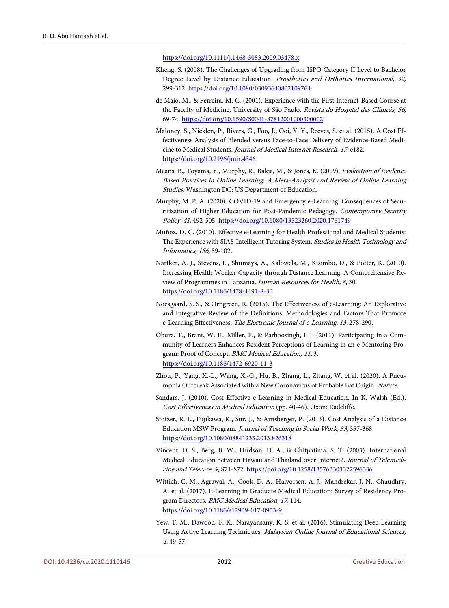#### <https://doi.org/10.1111/j.1468-3083.2009.03478.x>

- <span id="page-10-12"></span>Kheng, S. (2008). The Challenges of Upgrading from ISPO Category II Level to Bachelor Degree Level by Distance Education. Prosthetics and Orthotics International, 32, 299-312. <https://doi.org/10.1080/03093640802109764>
- <span id="page-10-7"></span>de Maio, M., & Ferreira, M. C. (2001). Experience with the First Internet-Based Course at the Faculty of Medicine, University of São Paulo. Revista do Hospital das Clinicás, 56, 69-74. <https://doi.org/10.1590/S0041-87812001000300002>
- <span id="page-10-3"></span>Maloney, S., Nicklen, P., Rivers, G., Foo, J., Ooi, Y. Y., Reeves, S. et al. (2015). A Cost Effectiveness Analysis of Blended versus Face-to-Face Delivery of Evidence-Based Medicine to Medical Students. Journal of Medical Internet Research, 17, e182. <https://doi.org/10.2196/jmir.4346>
- <span id="page-10-1"></span>Means, B., Toyama, Y., Murphy, R., Bakia, M., & Jones, K. (2009). Evaluation of Evidence Based Practices in Online Learning: A Meta-Analysis and Review of Online Learning Studies. Washington DC: US Department of Education.
- <span id="page-10-5"></span>Murphy, M. P. A. (2020). COVID-19 and Emergency e-Learning: Consequences of Securitization of Higher Education for Post-Pandemic Pedagogy. Contemporary Security Policy, 41, 492-505. <https://doi.org/10.1080/13523260.2020.1761749>
- <span id="page-10-13"></span>Muñoz, D. C. (2010). Effective e-Learning for Health Professional and Medical Students: The Experience with SIAS-Intelligent Tutoring System. Studies in Health Technology and Informatics, 156, 89-102.
- <span id="page-10-6"></span>Nartker, A. J., Stevens, L., Shumays, A., Kalowela, M., Kisimbo, D., & Potter, K. (2010). Increasing Health Worker Capacity through Distance Learning: A Comprehensive Review of Programmes in Tanzania. Human Resources for Health, 8, 30. <https://doi.org/10.1186/1478-4491-8-30>
- <span id="page-10-11"></span>Noesgaard, S. S., & Orngreen, R. (2015). The Effectiveness of e-Learning: An Explorative and Integrative Review of the Definitions, Methodologies and Factors That Promote e-Learning Effectiveness. The Electronic Journal of e-Learning, 13, 278-290.
- <span id="page-10-8"></span>Obura, T., Brant, W. E., Miller, F., & Parboosingh, I. J. (2011). Participating in a Community of Learners Enhances Resident Perceptions of Learning in an e-Mentoring Program: Proof of Concept. BMC Medical Education, 11, 3. <https://doi.org/10.1186/1472-6920-11-3>
- <span id="page-10-10"></span>Zhou, P., Yang, X.-L., Wang, X.-G., Hu, B., Zhang, L., Zhang, W. et al. (2020). A Pneumonia Outbreak Associated with a New Coronavirus of Probable Bat Origin. Nature.
- <span id="page-10-2"></span>Sandars, J. (2010). Cost-Effective e-Learning in Medical Education. In K. Walsh (Ed.), Cost Effectiveness in Medical Education (pp. 40-46). Oxon: Radcliffe.
- <span id="page-10-4"></span>Stotzer, R. L., Fujikawa, K., Sur, J., & Arnsberger, P. (2013). Cost Analysis of a Distance Education MSW Program. Journal of Teaching in Social Work, 33, 357-368. <https://doi.org/10.1080/08841233.2013.826318>
- <span id="page-10-9"></span>Vincent, D. S., Berg, B. W., Hudson, D. A., & Chitpatima, S. T. (2003). International Medical Education between Hawaii and Thailand over Internet2. Journal of Telemedicine and Telecare, 9, S71-S72. <https://doi.org/10.1258/135763303322596336>
- <span id="page-10-14"></span>Wittich, C. M., Agrawal, A., Cook, D. A., Halvorsen, A. J., Mandrekar, J. N., Chaudhry, A. et al. (2017). E-Learning in Graduate Medical Education: Survey of Residency Program Directors. BMC Medical Education, 17, 114. <https://doi.org/10.1186/s12909-017-0953-9>
- <span id="page-10-0"></span>Yew, T. M., Dawood, F. K., Narayansany, K. S. et al. (2016). Stimulating Deep Learning Using Active Learning Techniques. Malaysian Online Journal of Educational Sciences, 4, 49-57.